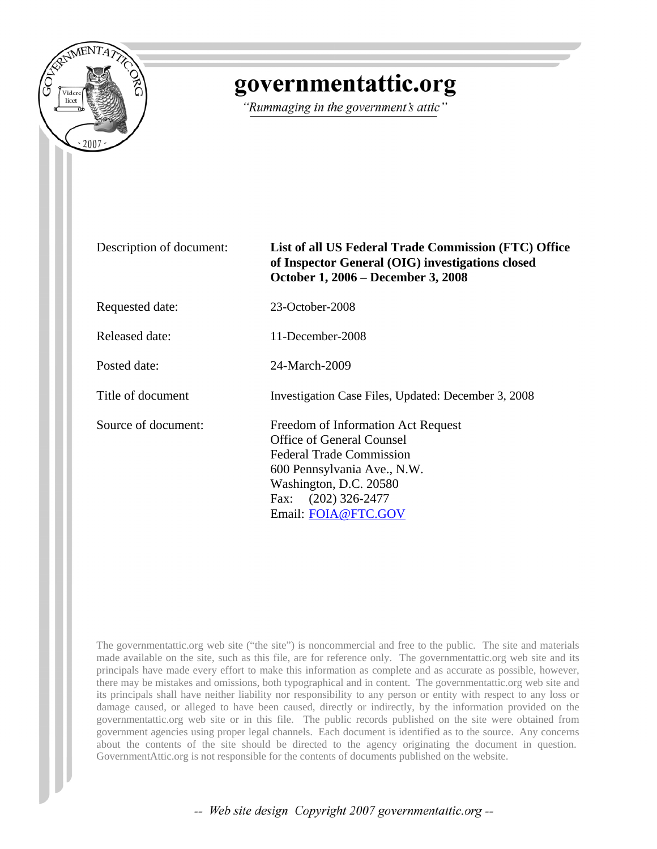

# governmentattic.org

"Rummaging in the government's attic"

#### Description of document: **List of all US Federal Trade Commission (FTC) Office of Inspector General (OIG) investigations closed October 1, 2006 – December 3, 2008**

Requested date: 23-October-2008

Released date: 11-December-2008

Posted date: 24-March-2009

Title of document<br>Investigation Case Files, Updated: December 3, 2008

Source of document: Freedom of Information Act Request Office of General Counsel Federal Trade Commission 600 Pennsylvania Ave., N.W. Washington, D.C. 20580 Fax: (202) 326-2477 Email: [FOIA@FTC.GOV](mailto:FOIA@FTC.GOV)

The governmentattic.org web site ("the site") is noncommercial and free to the public. The site and materials made available on the site, such as this file, are for reference only. The governmentattic.org web site and its principals have made every effort to make this information as complete and as accurate as possible, however, there may be mistakes and omissions, both typographical and in content. The governmentattic.org web site and its principals shall have neither liability nor responsibility to any person or entity with respect to any loss or damage caused, or alleged to have been caused, directly or indirectly, by the information provided on the governmentattic.org web site or in this file. The public records published on the site were obtained from government agencies using proper legal channels. Each document is identified as to the source. Any concerns about the contents of the site should be directed to the agency originating the document in question. GovernmentAttic.org is not responsible for the contents of documents published on the website.

-- Web site design Copyright 2007 governmentattic.org --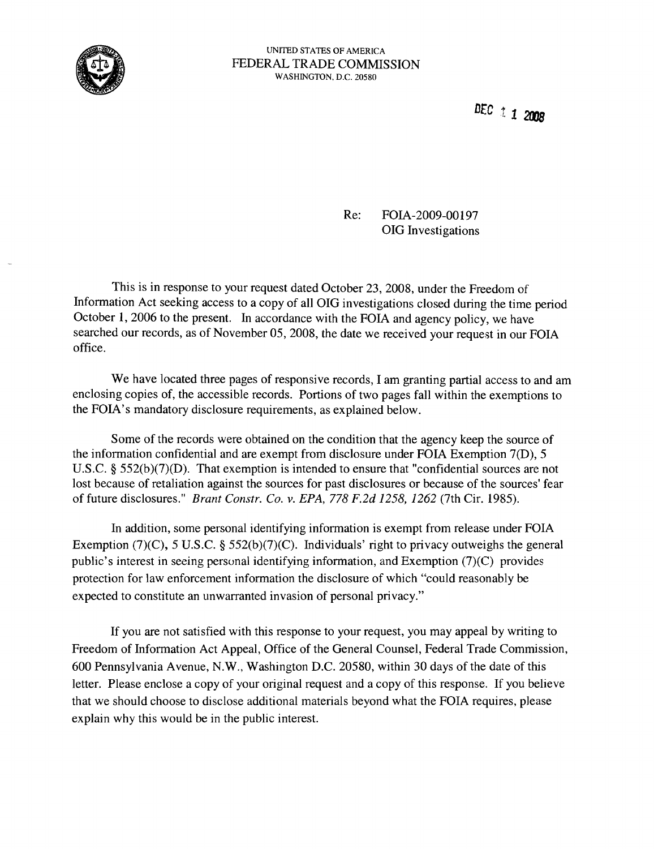

Drc t 1 *200S* 

#### Re: FOIA-2009-00197 OIG Investigations

This is in response to your request dated October 23,2008, under the Freedom of Information Act seeking access to a copy of all OIG investigations closed during the time period October 1, 2006 to the present. In accordance with the FOIA and agency policy, we have searched our records, as of November 05, 2008, the date we received your request in our FOIA office.

We have located three pages of responsive records, I am granting partial access to and am enclosing copies of, the accessible records. Portions of two pages fall within the exemptions to the FOIA's mandatory disclosure requirements, as explained below.

Some of the records were obtained on the condition that the agency keep the source of the information confidential and are exempt from disclosure under FOIA Exemption 7(D), 5 U.S.C. § 552(b)(7)(D). That exemption is intended to ensure that "confidential sources are not lost because of retaliation against the sources for past disclosures or because of the sources' fear of future disclosures." *Brant Constr. Co. v. EPA,* 778 *F.2d* 1258, 1262 (7th Cir. 1985).

In addition, some personal identifying information is exempt from release under FOIA Exemption (7)(C), 5 U.S.C. § 552(b)(7)(C). Individuals' right to privacy outweighs the general public's interest in seeing personal identifying information, and Exemption (7)(C) provides protection for law enforcement information the disclosure of which "could reasonably be expected to constitute an unwarranted invasion of personal privacy."

If you are not satisfied with this response to your request, you may appeal by writing to Freedom of Information Act Appeal, Office of the General Counsel, Federal Trade Commission, 600 Pennsylvania Avenue, N.W., Washington D.C. 20580, within 30 days of the date of this letter. Please enclose a copy of your original request and a copy of this response. If you believe that we should choose to disclose additional materials beyond what the FOIA requires, please explain why this would be in the public interest.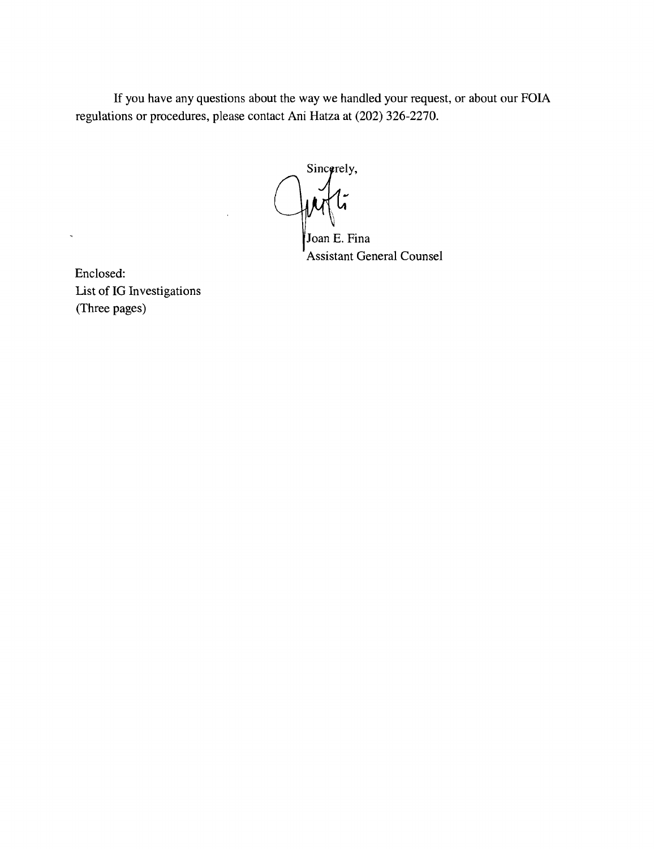If you have any questions about the way we handled your request, or about our FOIA regulations or procedures, please contact Ani Hatza at (202) 326-2270.

Sincorely,

Joan E. Fina Assistant General Counsel

Enclosed: List of IG Investigations (Three pages)

 $\bar{\mathbf{z}}$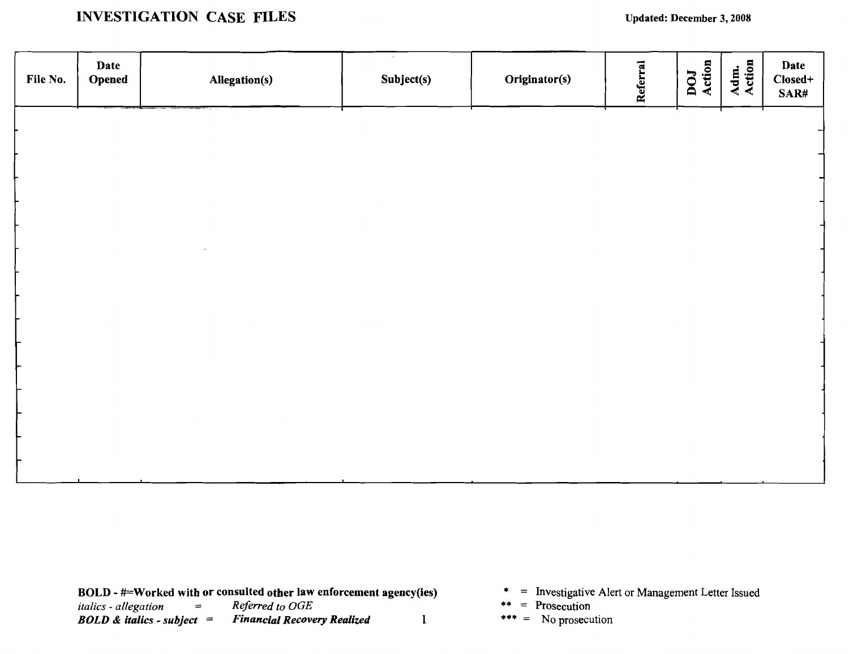## INVESTIGATION CASE FILES Updated: December 3, 2008

| File No. | Date<br>Opened | Allegation(s) | $\sim$<br>Subject(s) | Originator(s) | Referral | DOJ<br>Action | Adm.<br>Action | Date<br>Closed+<br>SAR# |
|----------|----------------|---------------|----------------------|---------------|----------|---------------|----------------|-------------------------|
|          |                |               |                      |               |          |               |                |                         |
|          |                |               |                      |               |          |               |                | $\rightarrow$           |
|          |                |               |                      |               |          |               |                |                         |
|          |                |               |                      |               |          |               |                |                         |
|          |                |               |                      |               |          |               |                |                         |
|          |                |               |                      |               |          |               |                |                         |
|          |                |               |                      |               |          |               |                |                         |
|          |                |               |                      |               |          |               |                |                         |
|          |                |               |                      |               |          |               |                |                         |
|          |                |               |                      |               |          |               |                |                         |
|          |                |               |                      |               |          |               |                |                         |
|          |                |               |                      |               |          |               |                |                         |
|          |                |               |                      |               |          |               |                |                         |
|          |                |               |                      |               |          |               |                |                         |

- 
- 
-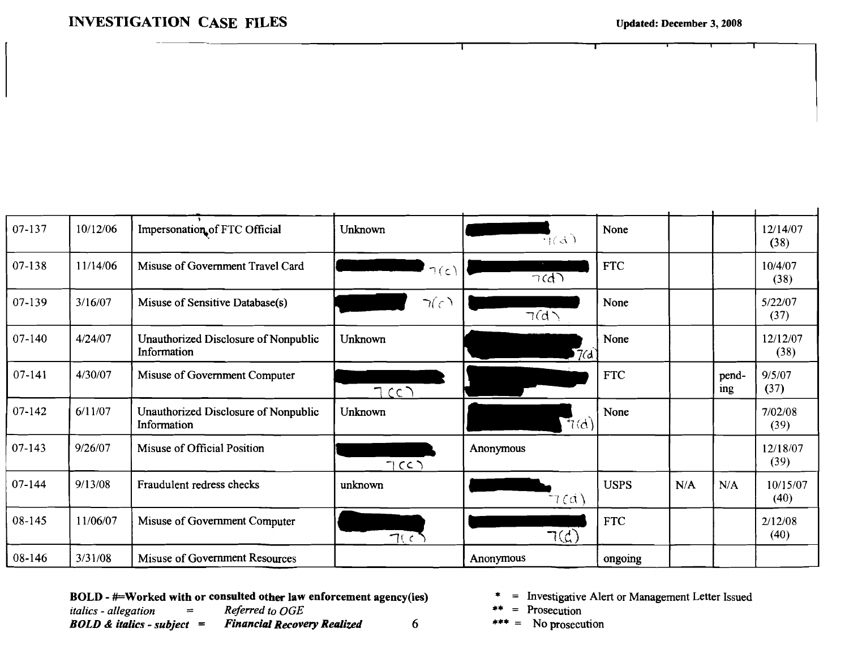## **INVESTIGATION CASE FILES**

 $\mathbf{I}$ 

| 07-137     | 10/12/06 | Impersonation of FTC Official                       | Unknown   | $\mp$ (d)              | None        |     |              | 12/14/07<br>(38) |
|------------|----------|-----------------------------------------------------|-----------|------------------------|-------------|-----|--------------|------------------|
| 07-138     | 11/14/06 | Misuse of Government Travel Card                    | $\neg(c)$ | $\overline{\gamma(d)}$ | <b>FTC</b>  |     |              | 10/4/07<br>(38)  |
| 07-139     | 3/16/07  | Misuse of Sensitive Database(s)                     | 7(c)      | $\neg(d)$              | None        |     |              | 5/22/07<br>(37)  |
| $07 - 140$ | 4/24/07  | Unauthorized Disclosure of Nonpublic<br>Information | Unknown   | 7d                     | None        |     |              | 12/12/07<br>(38) |
| 07-141     | 4/30/07  | Misuse of Government Computer                       | TCCD      |                        | <b>FTC</b>  |     | pend-<br>ing | 9/5/07<br>(37)   |
| $07 - 142$ | 6/11/07  | Unauthorized Disclosure of Nonpublic<br>Information | Unknown   | $\mathbb{F}_{7}$ (d)   | None        |     |              | 7/02/08<br>(39)  |
| $07 - 143$ | 9/26/07  | Misuse of Official Position                         | TCC       | Anonymous              |             |     |              | 12/18/07<br>(39) |
| 07-144     | 9/13/08  | Fraudulent redress checks                           | unknown   | 7(d)                   | <b>USPS</b> | N/A | N/A          | 10/15/07<br>(40) |
| 08-145     | 11/06/07 | Misuse of Government Computer                       | 7(c)      | $\neg$ (d)             | <b>FTC</b>  |     |              | 2/12/08<br>(40)  |
| 08-146     | 3/31/08  | Misuse of Government Resources                      |           | Anonymous              | ongoing     |     |              |                  |

BOLD - #=Worked with or consulted other law enforcement agency(ies) Referred to OGE italics - allegation  $\equiv$  $BOLD \&$  italics - subject = **Financial Recovery Realized** 6

- = Investigative Alert or Management Letter Issued
- $=$  Prosecution
- $*** =$  No prosecution